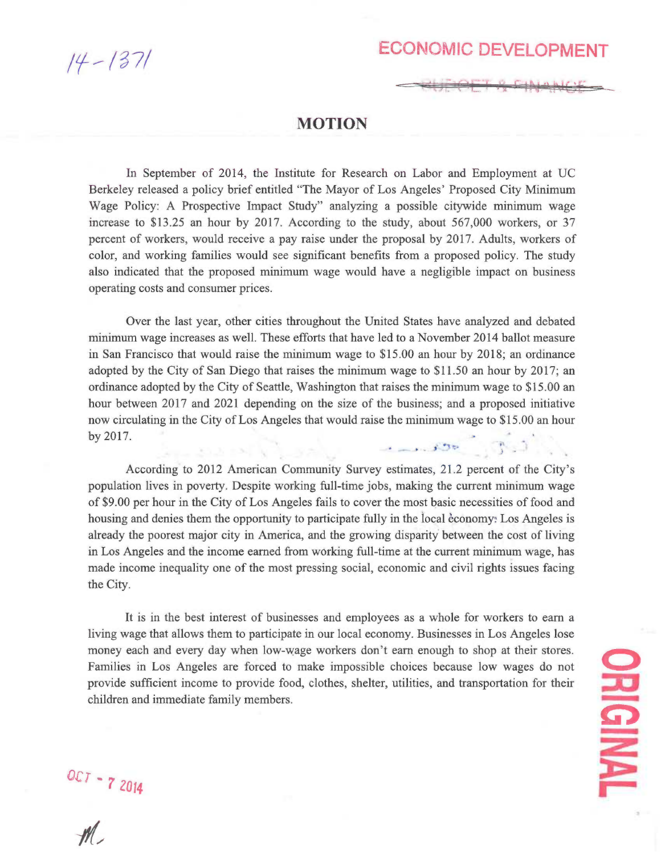$14 - 1371$ 

## ECONOMIC DEVELOPMENT

## MOTION

In September of 2014, the Institute for Research on Labor and Employment at UC Berkeley released a policy brief entitled "The Mayor of Los Angeles' Proposed City Minimum Wage Policy: A Prospective Impact Study" analyzing a possible citywide minimum wage increase to \$13.25 an hour by 2017. According to the study, about 567,000 workers, or 37 percent of workers, would receive a pay raise under the proposal by 2017. Adults, workers of color, and working families would see significant benefits from a proposed policy. The study also indicated that the proposed minimum wage would have a negligible impact on business operating costs and consumer prices.

Over the last year, other cities throughout the United States have analyzed and debated minimum wage increases as well. These efforts that have led to a November 2014 ballot measure in San Francisco that would raise the minimum wage to \$15.00 an hour by 2018; an ordinance adopted by the City of San Diego that raises the minimum wage to \$11.50 an hour by 2017; an ordinance adopted by the City of Seattle, Washington that raises the minimum wage to \$15.00 an hour between 2017 and 2021 depending on the size of the business; and a proposed initiative now circulating in the City of Los Angeles that would raise the minimum wage to \$15.00 an hour by 2017. 

الرزاه وبرائها احدهامي

According to 2012 American Community Survey estimates, 21.2 percent of the City's population lives in poverty. Despite working full-time jobs, making the current minimum wage of \$9.00 per hour in the City of Los Angeles fails to cover the most basic necessities of food and housing and denies them the opportunity to participate fully in the local economy: Los Angeles is already the poorest major city in America, and the growing disparity between the cost of living in Los Angeles and the income earned from working full-time at the current minimum wage, has made income inequality one of the most pressing social, economic and civil rights issues facing the City.

It is in the best interest of businesses and employees as a whole for workers to earn a living wage that allows them to participate in our local economy. Businesses in Los Angeles lose money each and every day when low-wage workers don't earn enough to shop at their stores. Families in Los Angeles are forced to make impossible choices because low wages do not provide sufficient income to provide food, clothes, shelter, utilities, and transportation for their children and immediate family members.

O **EINALE** 

 $\frac{32}{7}$  2014